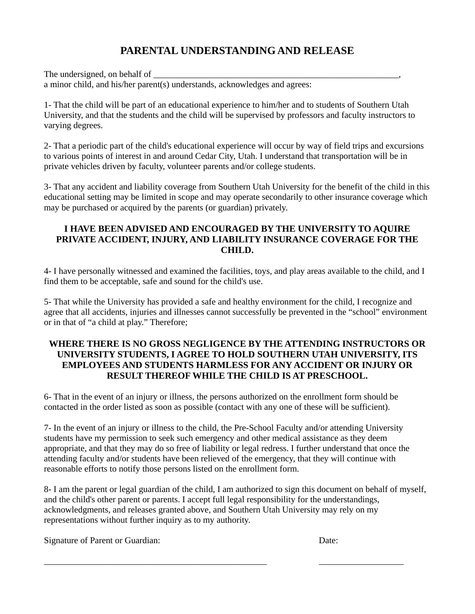## **PARENTAL UNDERSTANDING AND RELEASE**

The undersigned, on behalf of a minor child, and his/her parent(s) understands, acknowledges and agrees:

1- That the child will be part of an educational experience to him/her and to students of Southern Utah University, and that the students and the child will be supervised by professors and faculty instructors to varying degrees.

2- That a periodic part of the child's educational experience will occur by way of field trips and excursions to various points of interest in and around Cedar City, Utah. I understand that transportation will be in private vehicles driven by faculty, volunteer parents and/or college students.

3- That any accident and liability coverage from Southern Utah University for the benefit of the child in this educational setting may be limited in scope and may operate secondarily to other insurance coverage which may be purchased or acquired by the parents (or guardian) privately.

#### **I HAVE BEEN ADVISED AND ENCOURAGED BY THE UNIVERSITY TO AQUIRE PRIVATE ACCIDENT, INJURY, AND LIABILITY INSURANCE COVERAGE FOR THE CHILD.**

4- I have personally witnessed and examined the facilities, toys, and play areas available to the child, and I find them to be acceptable, safe and sound for the child's use.

5- That while the University has provided a safe and healthy environment for the child, I recognize and agree that all accidents, injuries and illnesses cannot successfully be prevented in the "school" environment or in that of "a child at play." Therefore;

#### **WHERE THERE IS NO GROSS NEGLIGENCE BY THE ATTENDING INSTRUCTORS OR UNIVERSITY STUDENTS, I AGREE TO HOLD SOUTHERN UTAH UNIVERSITY, ITS EMPLOYEES AND STUDENTS HARMLESS FOR ANY ACCIDENT OR INJURY OR RESULT THEREOF WHILE THE CHILD IS AT PRESCHOOL.**

6- That in the event of an injury or illness, the persons authorized on the enrollment form should be contacted in the order listed as soon as possible (contact with any one of these will be sufficient).

7- In the event of an injury or illness to the child, the Pre-School Faculty and/or attending University students have my permission to seek such emergency and other medical assistance as they deem appropriate, and that they may do so free of liability or legal redress. I further understand that once the attending faculty and/or students have been relieved of the emergency, that they will continue with reasonable efforts to notify those persons listed on the enrollment form.

8- I am the parent or legal guardian of the child, I am authorized to sign this document on behalf of myself, and the child's other parent or parents. I accept full legal responsibility for the understandings, acknowledgments, and releases granted above, and Southern Utah University may rely on my representations without further inquiry as to my authority.

\_\_\_\_\_\_\_\_\_\_\_\_\_\_\_\_\_\_\_\_\_\_\_\_\_\_\_\_\_\_\_\_\_\_\_\_\_\_\_\_\_\_\_\_\_\_\_\_\_\_ \_\_\_\_\_\_\_\_\_\_\_\_\_\_\_\_\_\_\_

Signature of Parent or Guardian: Date: